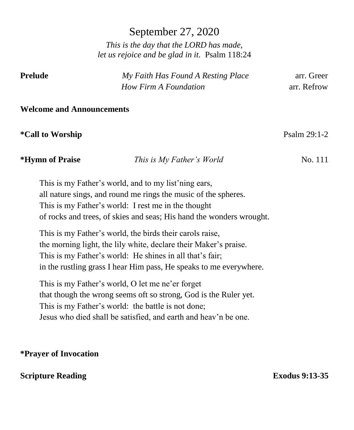September 27, 2020

*This is the day that the LORD has made, let us rejoice and be glad in it.* Psalm 118:24

| Prelude | My Faith Has Found A Resting Place | arr. Greer  |
|---------|------------------------------------|-------------|
|         | How Firm A Foundation              | arr. Refrow |

#### **Welcome and Announcements**

# **\*Call to Worship** Psalm 29:1-2

**\*Hymn of Praise** *This is My Father's World* No. 111

This is my Father's world, and to my list'ning ears, all nature sings, and round me rings the music of the spheres. This is my Father's world: I rest me in the thought of rocks and trees, of skies and seas; His hand the wonders wrought.

This is my Father's world, the birds their carols raise, the morning light, the lily white, declare their Maker's praise. This is my Father's world: He shines in all that's fair; in the rustling grass I hear Him pass, He speaks to me everywhere.

This is my Father's world, O let me ne'er forget that though the wrong seems oft so strong, God is the Ruler yet. This is my Father's world: the battle is not done; Jesus who died shall be satisfied, and earth and heav'n be one.

# **\*Prayer of Invocation**

# **Scripture Reading Exodus 9:13-35**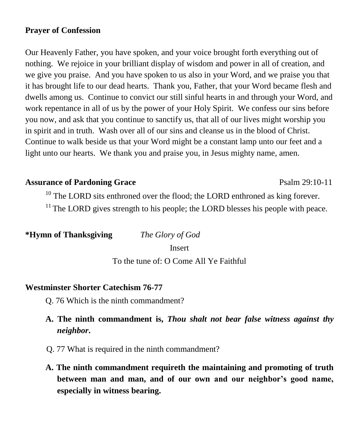# **Prayer of Confession**

Our Heavenly Father, you have spoken, and your voice brought forth everything out of nothing. We rejoice in your brilliant display of wisdom and power in all of creation, and we give you praise. And you have spoken to us also in your Word, and we praise you that it has brought life to our dead hearts. Thank you, Father, that your Word became flesh and dwells among us. Continue to convict our still sinful hearts in and through your Word, and work repentance in all of us by the power of your Holy Spirit. We confess our sins before you now, and ask that you continue to sanctify us, that all of our lives might worship you in spirit and in truth. Wash over all of our sins and cleanse us in the blood of Christ. Continue to walk beside us that your Word might be a constant lamp unto our feet and a light unto our hearts. We thank you and praise you, in Jesus mighty name, amen.

### **Assurance of Pardoning Grace** Psalm 29:10-11

 $10$  The LORD sits enthroned over the flood; the LORD enthroned as king forever.  $11$ <sup>11</sup> The LORD gives strength to his people; the LORD blesses his people with peace.

**\*Hymn of Thanksgiving** *The Glory of God*

Insert

To the tune of: O Come All Ye Faithful

# **Westminster Shorter Catechism 76-77**

Q. 76 Which is the ninth commandment?

# **A. The ninth commandment is,** *Thou shalt not bear false witness against thy neighbor***.**

- Q. 77 What is required in the ninth commandment?
- **A. The ninth commandment requireth the maintaining and promoting of truth between man and man, and of our own and our neighbor's good name, especially in witness bearing.**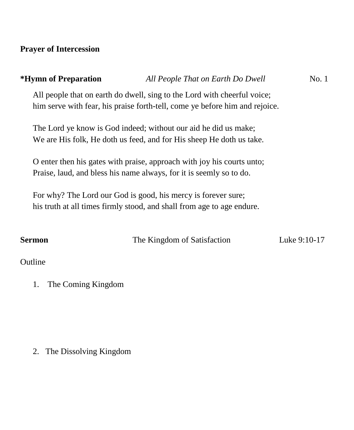# **Prayer of Intercession**

# **\*Hymn of Preparation** *All People That on Earth Do Dwell* No. 1 All people that on earth do dwell, sing to the Lord with cheerful voice; him serve with fear, his praise forth-tell, come ye before him and rejoice. The Lord ye know is God indeed; without our aid he did us make; We are His folk, He doth us feed, and for His sheep He doth us take. O enter then his gates with praise, approach with joy his courts unto; Praise, laud, and bless his name always, for it is seemly so to do. For why? The Lord our God is good, his mercy is forever sure; his truth at all times firmly stood, and shall from age to age endure. **Sermon** The Kingdom of Satisfaction Luke 9:10-17 **Outline**

1. The Coming Kingdom

2. The Dissolving Kingdom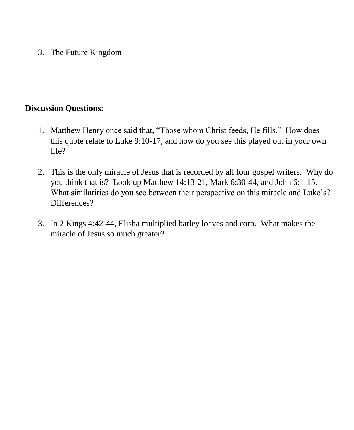3. The Future Kingdom

# **Discussion Questions**:

- 1. Matthew Henry once said that, "Those whom Christ feeds, He fills." How does this quote relate to Luke 9:10-17, and how do you see this played out in your own life?
- 2. This is the only miracle of Jesus that is recorded by all four gospel writers. Why do you think that is? Look up Matthew 14:13-21, Mark 6:30-44, and John 6:1-15. What similarities do you see between their perspective on this miracle and Luke's? Differences?
- 3. In 2 Kings 4:42-44, Elisha multiplied barley loaves and corn. What makes the miracle of Jesus so much greater?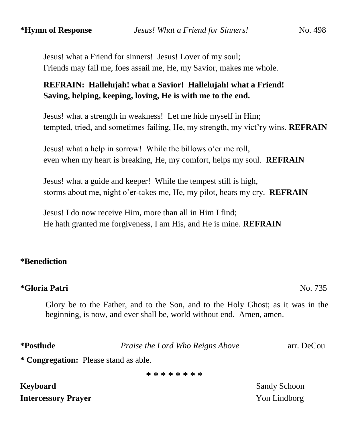Jesus! what a Friend for sinners! Jesus! Lover of my soul; Friends may fail me, foes assail me, He, my Savior, makes me whole.

# **REFRAIN: Hallelujah! what a Savior! Hallelujah! what a Friend! Saving, helping, keeping, loving, He is with me to the end.**

 Jesus! what a strength in weakness! Let me hide myself in Him; tempted, tried, and sometimes failing, He, my strength, my vict'ry wins. **REFRAIN**

 Jesus! what a help in sorrow! While the billows o'er me roll, even when my heart is breaking, He, my comfort, helps my soul. **REFRAIN**

 Jesus! what a guide and keeper! While the tempest still is high, storms about me, night o'er-takes me, He, my pilot, hears my cry. **REFRAIN**

 Jesus! I do now receive Him, more than all in Him I find; He hath granted me forgiveness, I am His, and He is mine. **REFRAIN**

# **\*Benediction**

# **\*Gloria Patri** No. 735

Glory be to the Father, and to the Son, and to the Holy Ghost; as it was in the beginning, is now, and ever shall be, world without end. Amen, amen.

**\*Postlude** *Praise the Lord Who Reigns Above* arr. DeCou

**\* Congregation:** Please stand as able.

**\* \* \* \* \* \* \* \***

**Keyboard** Sandy Schoon **Intercessory Prayer** Non-Lindborg **Yon Lindborg**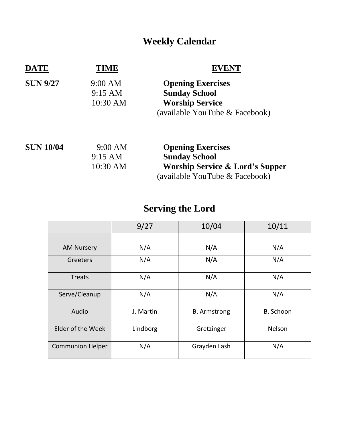# **Weekly Calendar**

| DATE             | FIME                                     |                                                                                                                                  |
|------------------|------------------------------------------|----------------------------------------------------------------------------------------------------------------------------------|
| <b>SUN 9/27</b>  | 9:00 AM<br>$9:15 \text{ AM}$<br>10:30 AM | <b>Opening Exercises</b><br><b>Sunday School</b><br><b>Worship Service</b><br>(available YouTube & Facebook)                     |
| <b>SUN 10/04</b> | 9:00 AM<br>$9:15 \text{ AM}$<br>10:30 AM | <b>Opening Exercises</b><br><b>Sunday School</b><br><b>Worship Service &amp; Lord's Supper</b><br>(available YouTube & Facebook) |

# **Serving the Lord**

|                         | 9/27      | 10/04               | 10/11     |
|-------------------------|-----------|---------------------|-----------|
|                         |           |                     |           |
| <b>AM Nursery</b>       | N/A       | N/A                 | N/A       |
| Greeters                | N/A       | N/A                 | N/A       |
| <b>Treats</b>           | N/A       | N/A                 | N/A       |
| Serve/Cleanup           | N/A       | N/A                 | N/A       |
| Audio                   | J. Martin | <b>B.</b> Armstrong | B. Schoon |
| Elder of the Week       | Lindborg  | Gretzinger          | Nelson    |
| <b>Communion Helper</b> | N/A       | Grayden Lash        | N/A       |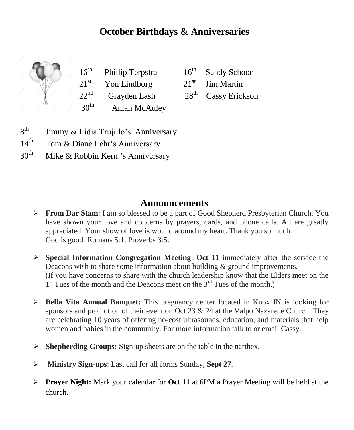# **October Birthdays & Anniversaries**

 $16^{th}$  $21<sup>st</sup>$  Yon Lindborg  $21<sup>st</sup>$  Jim Martin  $22^{\text{nd}}$ Grayden Lash 28<sup>th</sup>  $30<sup>th</sup>$  Aniah McAuley

Phillip Terpstra  $16<sup>th</sup>$  Sandy Schoon

Cassy Erickson

- $8<sup>th</sup>$ Jimmy & Lidia Trujillo's Anniversary
- $14<sup>th</sup>$ Tom & Diane Lehr's Anniversary
- $30<sup>th</sup>$ Mike & Robbin Kern 's Anniversary

# **Announcements**

- **From Dar Stam:** I am so blessed to be a part of Good Shepherd Presbyterian Church. You have shown your love and concerns by prayers, cards, and phone calls. All are greatly appreciated. Your show of love is wound around my heart. Thank you so much. God is good. Romans 5:1. Proverbs 3:5.
- **Special Information Congregation Meeting**: **Oct 11** immediately after the service the Deacons wish to share some information about building & ground improvements. (If you have concerns to share with the church leadership know that the Elders meet on the 1<sup>st</sup> Tues of the month and the Deacons meet on the 3<sup>rd</sup> Tues of the month.)
- **Bella Vita Annual Banquet:** This pregnancy center located in Knox IN is looking for sponsors and promotion of their event on Oct 23 & 24 at the Valpo Nazarene Church. They are celebrating 10 years of offering no-cost ultrasounds, education, and materials that help women and babies in the community. For more information talk to or email Cassy.
- **Shepherding Groups:** Sign-up sheets are on the table in the narthex.
- **Ministry Sign-ups**: Last call for all forms Sunday**, Sept 27**.
- **Prayer Night:** Mark your calendar for **Oct 11** at 6PM a Prayer Meeting will be held at the church.